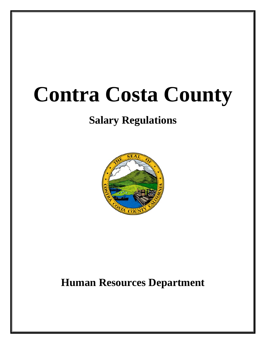# **Contra Costa County**

# **Salary Regulations**



# **Human Resources Department**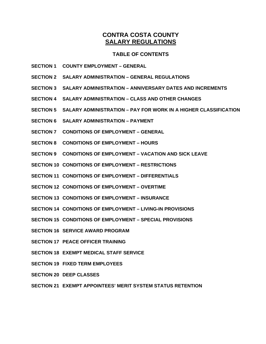# **CONTRA COSTA COUNTY SALARY REGULATIONS**

# **TABLE OF CONTENTS**

- **SECTION 1 COUNTY EMPLOYMENT GENERAL**
- **SECTION 2 SALARY ADMINISTRATION GENERAL REGULATIONS**
- **SECTION 3 SALARY ADMINISTRATION ANNIVERSARY DATES AND INCREMENTS**
- **SECTION 4 SALARY ADMINISTRATION CLASS AND OTHER CHANGES**
- **SECTION 5 SALARY ADMINISTRATION PAY FOR WORK IN A HIGHER CLASSIFICATION**
- **SECTION 6 SALARY ADMINISTRATION PAYMENT**
- **SECTION 7 CONDITIONS OF EMPLOYMENT GENERAL**
- **SECTION 8 CONDITIONS OF EMPLOYMENT HOURS**
- **SECTION 9 CONDITIONS OF EMPLOYMENT VACATION AND SICK LEAVE**
- **SECTION 10 CONDITIONS OF EMPLOYMENT RESTRICTIONS**
- **SECTION 11 CONDITIONS OF EMPLOYMENT DIFFERENTIALS**
- **SECTION 12 CONDITIONS OF EMPLOYMENT OVERTIME**
- **SECTION 13 CONDITIONS OF EMPLOYMENT INSURANCE**
- **SECTION 14 CONDITIONS OF EMPLOYMENT LIVING-IN PROVISIONS**
- **SECTION 15 CONDITIONS OF EMPLOYMENT SPECIAL PROVISIONS**
- **SECTION 16 SERVICE AWARD PROGRAM**
- **SECTION 17 PEACE OFFICER TRAINING**
- **SECTION 18 EXEMPT MEDICAL STAFF SERVICE**
- **SECTION 19 FIXED TERM EMPLOYEES**
- **SECTION 20 DEEP CLASSES**
- **SECTION 21 EXEMPT APPOINTEES' MERIT SYSTEM STATUS RETENTION**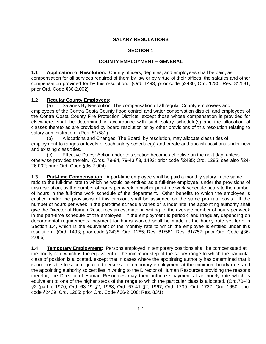# **SALARY REGULATIONS**

#### **SECTION 1**

#### **COUNTY EMPLOYMENT – GENERAL**

**1.1 Application of Resolution:** County officers, deputies, and employees shall be paid, as compensation for all services required of them by law or by virtue of their offices, the salaries and other compensation provided for by this resolution. (Ord. 1493; prior code §2430; Ord. 1285; Res. 81/581; prior Ord. Code §36-2.002)

#### **1.2 Regular County Employees:**

(a) Salaries By Resolution: The compensation of all regular County employees and employees of the Contra Costa County flood control and water conservation district, and employees of the Contra Costa County Fire Protection Districts, except those whose compensation is provided for elsewhere, shall be determined in accordance with such salary schedule(s) and the allocation of classes thereto as are provided by board resolution or by other provisions of this resolution relating to salary administration. (Res. 81/581)

(b) Allocations and Changes: The Board, by resolution, may allocate class titles of employment to ranges or levels of such salary schedule(s) and create and abolish positions under new and existing class titles.

(c) Effective Dates: Action under this section becomes effective on the next day, unless otherwise provided therein. (Ords. 79-94, 79-43 §3, 1493; prior code §2435; Ord. 1285; see also §24- 26.002; prior Ord. Code §36-2.004)

**1.3** Part-time Compensation: A part-time employee shall be paid a monthly salary in the same ratio to the full-time rate to which he would be entitled as a full-time employee, under the provisions of this resolution, as the number of hours per week in his/her part-time work schedule bears to the number of hours in the full-time work schedule of the department. Other benefits to which the employee is entitled under the provisions of this division, shall be assigned on the same pro rata basis. If the number of hours per week in the part-time schedule varies or is indefinite, the appointing authority shall give the Director of Human Resources an estimate, in writing, of the average number of hours per week in the part-time schedule of the employee. If the employment is periodic and irregular, depending on departmental requirements, payment for hours worked shall be made at the hourly rate set forth in Section 1.4, which is the equivalent of the monthly rate to which the employee is entitled under this resolution. (Ord. 1493; prior code §2438; Ord. 1285; Res. 81/581; Res. 81/757; prior Ord. Code §36- 2.006)

**1.4 Temporary Employment:** Persons employed in temporary positions shall be compensated at the hourly rate which is the equivalent of the minimum step of the salary range to which the particular class of position is allocated, except that in cases where the appointing authority has determined that it is not possible to secure qualified persons for temporary employment at the minimum hourly rate, and the appointing authority so certifies in writing to the Director of Human Resources providing the reasons therefor, the Director of Human Resources may then authorize payment at an hourly rate which is equivalent to one of the higher steps of the range to which the particular class is allocated. (Ord.70-43 §2 (part ), 1970; Ord. 68-19 §2, 1968; Ord. 67-41 §2, 1967; Ord. 1739; Ord. 1727; Ord. 1650; prior code §2439; Ord. 1285; prior Ord. Code §36-2.008; Res. 83/1)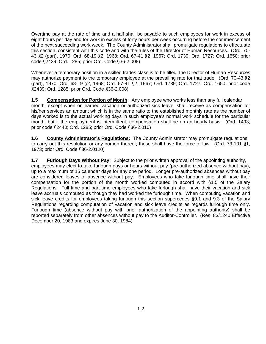Overtime pay at the rate of time and a half shall be payable to such employees for work in excess of eight hours per day and for work in excess of forty hours per week occurring before the commencement of the next succeeding work week. The County Administrator shall promulgate regulations to effectuate this section, consistent with this code and with the rules of the Director of Human Resources. (Ord. 70- 43 §2 (part), 1970; Ord. 68-19 §2, 1968; Ord. 67-41 §2, 1967; Ord. 1739; Ord. 1727; Ord. 1650; prior code §2439; Ord. 1285; prior Ord. Code §36-2.008)

Whenever a temporary position in a skilled trades class is to be filled, the Director of Human Resources may authorize payment to the temporary employee at the prevailing rate for that trade. (Ord. 70-43 §2 (part), 1970; Ord. 68-19 §2, 1968; Ord. 67-41 §2, 1967; Ord. 1739; Ord. 1727; Ord. 1650; prior code §2439; Ord. 1285; prior Ord. Code §36-2.008)

**1.5 Compensation for Portion of Month:** Any employee who works less than any full calendar month, except when on earned vacation or authorized sick leave, shall receive as compensation for his/her services an amount which is in the same ratio to the established monthly rate as the number of days worked is to the actual working days in such employee's normal work schedule for the particular month; but if the employment is intermittent, compensation shall be on an hourly basis. (Ord. 1493; prior code §2440; Ord. 1285; prior Ord. Code §36-2.010)

**1.6 County Administrator's Regulations:** The County Administrator may promulgate regulations to carry out this resolution or any portion thereof; these shall have the force of law. (Ord. 73-101 §1, 1973; prior Ord. Code §36-2.0120)

**1.7 Furlough Days Without Pay:** Subject to the prior written approval of the appointing authority, employees may elect to take furlough days or hours without pay (pre-authorized absence without pay), up to a maximum of 15 calendar days for any one period. Longer pre-authorized absences without pay are considered leaves of absence without pay. Employees who take furlough time shall have their compensation for the portion of the month worked computed in accord with §1.5 of the Salary Regulations. Full time and part time employees who take furlough shall have their vacation and sick leave accruals computed as though they had worked the furlough time. When computing vacation and sick leave credits for employees taking furlough this section supercedes §9.1 and 9.3 of the Salary Regulations regarding computation of vacation and sick leave credits as regards furlough time only. Furlough time (absence without pay with prior authorization of the appointing authority) shall be reported separately from other absences without pay to the Auditor-Controller. (Res. 83/1240 Effective December 20, 1983 and expires June 30, 1984)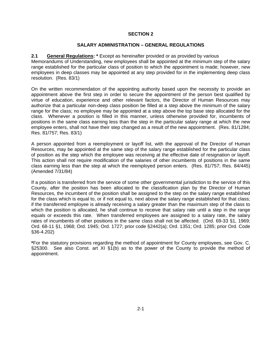#### **SALARY ADMINISTRATION – GENERAL REGULATIONS**

#### **2.1 General Regulations: \*** Except as hereinafter provided or as provided by various

Memorandums of Understanding, new employees shall be appointed at the minimum step of the salary range established for the particular class of position to which the appointment is made; however, new employees in deep classes may be appointed at any step provided for in the implementing deep class resolution. (Res. 83/1)

On the written recommendation of the appointing authority based upon the necessity to provide an appointment above the first step in order to secure the appointment of the person best qualified by virtue of education, experience and other relevant factors, the Director of Human Resources may authorize that a particular non-deep class position be filled at a step above the minimum of the salary range for the class; no employee may be appointed at a step above the top base step allocated for the class. Whenever a position is filled in this manner, unless otherwise provided for, incumbents of positions in the same class earning less than the step in the particular salary range at which the new employee enters, shall not have their step changed as a result of the new appointment. (Res. 81/1284; Res. 81/757; Res. 83/1)

A person appointed from a reemployment or layoff list, with the approval of the Director of Human Resources, may be appointed at the same step of the salary range established for the particular class of position as the step which the employee was receiving at the effective date of resignation or layoff. This action shall not require modification of the salaries of other incumbents of positions in the same class earning less than the step at which the reemployed person enters. (Res. 81/757; Res. 84/445) (Amended 7/31/84)

If a position is transferred from the service of some other governmental jurisdiction to the service of this County, after the position has been allocated to the classification plan by the Director of Human Resources, the incumbent of the position shall be assigned to the step on the salary range established for the class which is equal to, or if not equal to, next above the salary range established for that class; if the transferred employee is already receiving a salary greater than the maximum step of the class to which the position is allocated, he shall continue to receive that salary rate until a step in the range equals or exceeds this rate. When transferred employees are assigned to a salary rate, the salary rates of incumbents of other positions in the same class shall not be affected. (Ord. 69-33 §1, 1969; Ord. 68-11 §1, 1968; Ord. 1945; Ord. 1727; prior code §2442(a); Ord. 1351; Ord. 1285; prior Ord. Code §36-4.202)

**\***For the statutory provisions regarding the method of appointment for County employees, see Gov. C. §25300. See also Const. art XI §1(b) as to the power of the County to provide the method of appointment.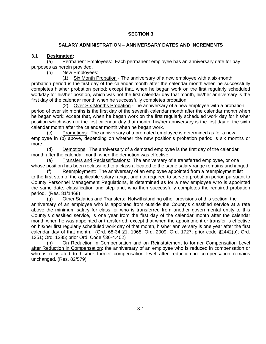# **SALARY ADMINISTRATION – ANNIVERSARY DATES AND INCREMENTS**

# **3.1 Designated:**

(a) Permanent Employees: Each permanent employee has an anniversary date for pay purposes as herein provided.

(b) New Employees:

(1) Six Month Probation - The anniversary of a new employee with a six-month probation period is the first day of the calendar month after the calendar month when he successfully completes his/her probation period; except that, when he began work on the first regularly scheduled workday for his/her position, which was not the first calendar day that month, his/her anniversary is the first day of the calendar month when he successfully completes probation.

(2) Over Six Months Probation -The anniversary of a new employee with a probation period of over six months is the first day of the seventh calendar month after the calendar month when he began work; except that, when he began work on the first regularly scheduled work day for his/her position which was not the first calendar day that month, his/her anniversary is the first day of the sixth calendar month after the calendar month when he began work.

(c) Promotions: The anniversary of a promoted employee is determined as for a new employee in (b) above, depending on whether the new position's probation period is six months or more.

(d) Demotions: The anniversary of a demoted employee is the first day of the calendar month after the calendar month when the demotion was effective.

(e) Transfers and Reclassifications: The anniversary of a transferred employee, or one whose position has been reclassified to a class allocated to the same salary range remains unchanged

Reemployment: The anniversary of an employee appointed from a reemployment list to the first step of the applicable salary range, and not required to serve a probation period pursuant to County Personnel Management Regulations, is determined as for a new employee who is appointed the same date, classification and step and, who then successfully completes the required probation period. (Res. 81/1468)

(g) Other Salaries and Transfers: Notwithstanding other provisions of this section, the anniversary of an employee who is appointed from outside the County's classified service at a rate above the minimum salary for class, or who is transferred from another governmental entity to this County's classified service, is one year from the first day of the calendar month after the calendar month when he was appointed or transferred; except that when the appointment or transfer is effective on his/her first regularly scheduled work day of that month, his/her anniversary is one year after the first calendar day of that month. (Ord. 68-34 §1, 1968; Ord. 2009; Ord. 1727; prior code §2442(b); Ord. 1351; Ord. 1285; prior Ord. Code §36-4.402)

 (h) On Reduction in Compensation and on Reinstatement to former Compensation Level after Reduction in Compensation: the anniversary of an employee who is reduced in compensation or who is reinstated to his/her former compensation level after reduction in compensation remains unchanged. (Res. 82/579)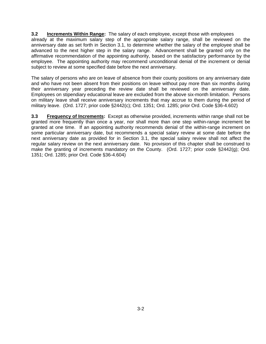**3.2 Increments Within Range:** The salary of each employee, except those with employees already at the maximum salary step of the appropriate salary range, shall be reviewed on the anniversary date as set forth in Section 3.1, to determine whether the salary of the employee shall be advanced to the next higher step in the salary range. Advancement shall be granted only on the affirmative recommendation of the appointing authority, based on the satisfactory performance by the employee. The appointing authority may recommend unconditional denial of the increment or denial subject to review at some specified date before the next anniversary.

The salary of persons who are on leave of absence from their county positions on any anniversary date and who have not been absent from their positions on leave without pay more than six months during their anniversary year preceding the review date shall be reviewed on the anniversary date. Employees on stipendiary educational leave are excluded from the above six-month limitation. Persons on military leave shall receive anniversary increments that may accrue to them during the period of military leave. (Ord. 1727; prior code §2442(c); Ord. 1351; Ord. 1285; prior Ord. Code §36-4.602)

**3.3 Frequency of Increments:** Except as otherwise provided, increments within range shall not be granted more frequently than once a year, nor shall more than one step within-range increment be granted at one time. If an appointing authority recommends denial of the within-range increment on some particular anniversary date, but recommends a special salary review at some date before the next anniversary date as provided for in Section 3.1, the special salary review shall not affect the regular salary review on the next anniversary date. No provision of this chapter shall be construed to make the granting of increments mandatory on the County. (Ord. 1727; prior code §2442(g); Ord. 1351; Ord. 1285; prior Ord. Code §36-4.604)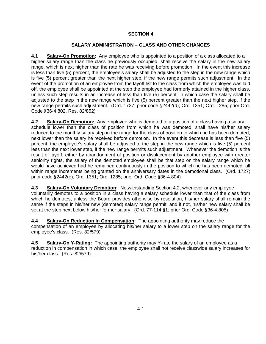# **SALARY ADMINISTRATION – CLASS AND OTHER CHANGES**

**4.1 Salary-On Promotion:** Any employee who is appointed to a position of a class allocated to a higher salary range than the class he previously occupied, shall receive the salary in the new salary range, which is next higher than the rate he was receiving before promotion. In the event this increase is less than five (5) percent, the employee's salary shall be adjusted to the step in the new range which is five (5) percent greater than the next higher step, if the new range permits such adjustment. In the event of the promotion of an employee from the layoff list to the class from which the employee was laid off, the employee shall be appointed at the step the employee had formerly attained in the higher class, unless such step results in an increase of less than five (5) percent; in which case the salary shall be adjusted to the step in the new range which is five (5) percent greater than the next higher step, if the new range permits such adjustment. (Ord. 1727; prior code §2442(d); Ord. 1351; Ord. 1285; prior Ord. Code §36-4.802, Res. 82/852)

**4.2 Salary-On Demotion:** Any employee who is demoted to a position of a class having a salary schedule lower than the class of position from which he was demoted, shall have his/her salary reduced to the monthly salary step in the range for the class of position to which he has been demoted, next lower than the salary he received before demotion. In the event this decrease is less than five (5) percent, the employee's salary shall be adjusted to the step in the new range which is five (5) percent less than the next lower step, if the new range permits such adjustment. Whenever the demotion is the result of layoff, either by abandonment of position or displacement by another employee with greater seniority rights, the salary of the demoted employee shall be that step on the salary range which he would have achieved had he remained continuously in the position to which he has been demoted, all within range increments being granted on the anniversary dates in the demotional class. (Ord. 1727; prior code §2442(e); Ord. 1351; Ord. 1285; prior Ord. Code §36-4.804)

**4.3 Salary-On Voluntary Demotion:** Notwithstanding Section 4.2, whenever any employee voluntarily demotes to a position in a class having a salary schedule lower than that of the class from which he demotes, unless the Board provides otherwise by resolution, his/her salary shall remain the same if the steps in his/her new (demoted) salary range permit, and if not, his/her new salary shall be set at the step next below his/her former salary. (Ord. 77-114 §1; prior Ord. Code §36-4.805)

**4.4 Salary-On Reduction In Compensation:** The appointing authority may reduce the compensation of an employee by allocating his/her salary to a lower step on the salary range for the employee's class. (Res. 82/579)

**4.5 Salary-On Y-Rating:** The appointing authority may Y-rate the salary of an employee as a reduction in compensation in which case, the employee shall not receive classwide salary increases for his/her class. (Res. 82/579)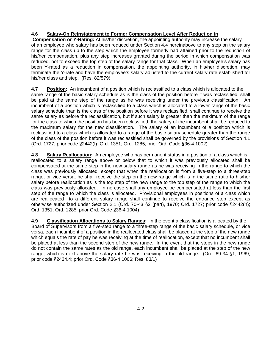# **4.6 Salary-On Reinstatement to Former Compensation Level After Reduction in**

 **Compensation or Y-Rating:** At his/her discretion, the appointing authority may increase the salary of an employee who salary has been reduced under Section 4.4 hereinabove to any step on the salary range for the class up to the step which the employee formerly had attained prior to the reduction of his/her compensation, plus any step increases granted during the period in which compensation was reduced, not to exceed the top step of the salary range for that class. When an employee's salary has been Y-rated as a reduction in compensation, the appointing authority, in his/her discretion, may terminate the Y-rate and have the employee's salary adjusted to the current salary rate established for his/her class and step. (Res. 82/579)

**4.7 Position:** An incumbent of a position which is reclassified to a class which is allocated to the same range of the basic salary schedule as is the class of the position before it was reclassified, shall be paid at the same step of the range as he was receiving under the previous classification. An incumbent of a position which is reclassified to a class which is allocated to a lower range of the basic salary schedule than is the class of the position before it was reclassified, shall continue to receive the same salary as before the reclassification, but if such salary is greater than the maximum of the range for the class to which the position has been reclassified, the salary of the incumbent shall be reduced to the maximum salary for the new classification. The salary of an incumbent of a position which is reclassified to a class which is allocated to a range of the basic salary schedule greater than the range of the class of the position before it was reclassified shall be governed by the provisions of Section 4.1 (Ord. 1727; prior code §2442(I); Ord. 1351; Ord. 1285; prior Ord. Code §36-4.1002)

**4.8 Salary Reallocation:** An employee who has permanent status in a position of a class which is reallocated to a salary range above or below that to which it was previously allocated shall be compensated at the same step in the new salary range as he was receiving in the range to which the class was previously allocated, except that when the reallocation is from a five-step to a three-step range, or vice versa, he shall receive the step on the new range which is in the same ratio to his/her salary before reallocation as is the top step of the new range to the top step of the range to which the class was previously allocated. In no case shall any employee be compensated at less than the first step of the range to which the class is allocated. Provisional employees in positions of a class which are reallocated to a different salary range shall continue to receive the entrance step except as otherwise authorized under Section 2.1 (Ord. 70-43 §2 (part), 1970; Ord. 1727; prior code §2442(h); Ord. 1351; Ord. 1285; prior Ord. Code §36-4.1004)

**4.9 Classification Allocations to Salary Ranges:** In the event a classification is allocated by the Board of Supervisors from a five-step range to a three-step range of the basic salary schedule, or vice versa, each incumbent of a position in the reallocated class shall be placed at the step of the new range which equals the rate of pay he was receiving at the time of reallocation, except that no incumbent shall be placed at less than the second step of the new range. In the event that the steps in the new range do not contain the same rates as the old range, each incumbent shall be placed at the step of the new range, which is next above the salary rate he was receiving in the old range. (Ord. 69-34 §1, 1969; prior code §2434.4; prior Ord. Code §36-4.1006; Res. 83/1)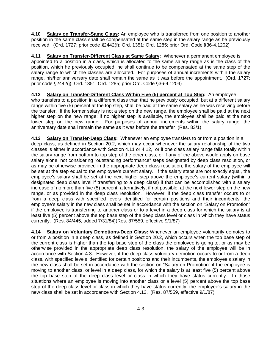**4.10 Salary on Transfer-Same Class:** An employee who is transferred from one position to another position in the same class shall be compensated at the same step in the salary range as he previously received. (Ord. 1727; prior code §2442(f); Ord. 1351; Ord. 1285; prior Ord. Code §36-4.1202)

**4.11 Salary on Transfer-Different Class at Same Salary:** Whenever a permanent employee is appointed to a position in a class, which is allocated to the same salary range as is the class of the position, which he previously occupied, he shall continue to be compensated at the same step of the salary range to which the classes are allocated. For purposes of annual increments within the salary range, his/her anniversary date shall remain the same as it was before the appointment. (Ord. 1727; prior code §2442(j); Ord. 1351; Ord. 1285; prior Ord. Code §36-4.1204)

**4.12 Salary on Transfer-Different Class Within Five (5) percent at Top Step:** An employee who transfers to a position in a different class than that he previously occupied, but at a different salary range within five (5) percent at the top step, shall be paid at the same salary as he was receiving before the transfer. If the former salary is not a step on the new range, the employee shall be paid at the next higher step on the new range; if no higher step is available, the employee shall be paid at the next lower step on the new range. For purposes of annual increments within the salary range, the anniversary date shall remain the same as it was before the transfer (Res. 83/1)

**4.13 Salary on Transfer-Deep Class:** Whenever an employee transfers to or from a position in a deep class, as defined in Section 20.2, which may occur whenever the salary relationship of the two classes is either in accordance with Section 4.11 or 4.12, or if one class salary range falls totally within the salary range from bottom to top step of the other class, or if any of the above would apply on base salary alone, not considering "outstanding performance" steps designated by deep class resolution, or as may be otherwise provided in the appropriate deep class resolution, the salary of the employee will be set at the step equal to the employee's current salary. If the salary steps are not exactly equal, the employee's salary shall be set at the next higher step above the employee's current salary (within a designated deep class level if transferring to a deep class) if that can be accomplished with a salary increase of no more than five (5) percent; alternatively, if not possible, at the next lower step on the new range, or as provided in the deep class resolution. However, if the deep class transfer occurs to or from a deep class with specified levels identified for certain positions and their incumbents, the employee's salary in the new class shall be set in accordance with the section on "Salary on Promotion" if the employee is transferring to another class or to a level in a deep class for which the salary is at least five (5) percent above the top base step of the deep class level or class in which they have status currently. (Res. 84/445, added 7/31/84)(Res. 87/559, effective 9/1/87)

**4.14 Salary on Voluntary Demotions-Deep Class:** Whenever an employee voluntarily demotes to or from a position in a deep class, as defined in Section 20.2, which occurs when the top base step of the current class is higher than the top base step of the class the employee is going to, or as may be otherwise provided in the appropriate deep class resolution, the salary of the employee will be in accordance with Section 4.3. However, if the deep class voluntary demotion occurs to or from a deep class, with specified levels identified for certain positions and their incumbents, the employee's salary in the new class shall be set in accordance with the section on "Salary on Promotion" if the employee is moving to another class, or level in a deep class, for which the salary is at least five (5) percent above the top base step of the deep class level or class in which they have status currently. In those situations where an employee is moving into another class or a level (5) percent above the top base step of the deep class level or class in which they have status currently, the employee's salary in the new class shall be set in accordance with Section 4.13. (Res. 87/559, effective 9/1/87)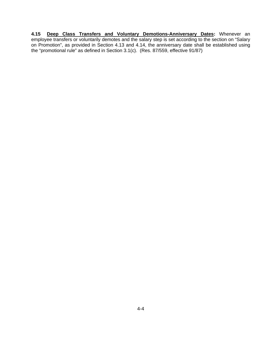**4.15 Deep Class Transfers and Voluntary Demotions-Anniversary Dates:** Whenever an employee transfers or voluntarily demotes and the salary step is set according to the section on "Salary on Promotion", as provided in Section 4.13 and 4.14, the anniversary date shall be established using the "promotional rule" as defined in Section 3.1(c). (Res. 87/559, effective 91/87)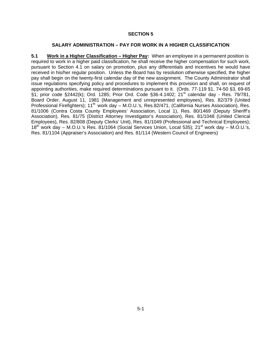#### **SALARY ADMINISTRATION – PAY FOR WORK IN A HIGHER CLASSIFICATION**

**5.1 Work in a Higher Classification – Higher Pay:** When an employee in a permanent position is required to work in a higher paid classification, he shall receive the higher compensation for such work, pursuant to Section 4.1 on salary on promotion, plus any differentials and incentives he would have received in his/her regular position. Unless the Board has by resolution otherwise specified, the higher pay shall begin on the twenty-first calendar day of the new assignment. The County Administrator shall issue regulations specifying policy and procedures to implement this provision and shall, on request of appointing authorities, make required determinations pursuant to it. (Ords. 77-119 §1, 74-50 §3, 69-65 §1; prior code §2442(k); Ord. 1285; Prior Ord. Code §36-4.1402; 21<sup>st</sup> calendar day - Res. 79/781, Board Order, August 11, 1981 (Management and unrepresented employees), Res. 82/379 (United Professional Firefighters); 11<sup>th</sup> work day – M.O.U.'s, Res.82/471, (California Nurses Association), Res. 81/1006 (Contra Costa County Employees' Association, Local 1), Res. 80/1469 (Deputy Sheriff's Association), Res. 81/75 (District Attorney Investigator's Association), Res. 81/1048 (United Clerical Employees), Res. 82/808 (Deputy Clerks' Unit), Res. 81/1049 (Professional and Technical Employees); 18<sup>th</sup> work day – M.O.U.'s Res. 81/1064 (Social Services Union, Local 535); 21<sup>st</sup> work day – M.O.U.'s, Res. 81/1104 (Appraiser's Association) and Res. 81/114 (Western Council of Engineers)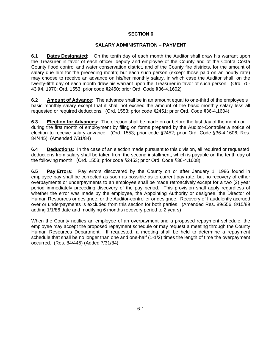#### **SALARY ADMINISTRATION – PAYMENT**

**6.1 Dates Designated:** On the tenth day of each month the Auditor shall draw his warrant upon the Treasurer in favor of each officer, deputy and employee of the County and of the Contra Costa County flood control and water conservation district, and of the County fire districts, for the amount of salary due him for the preceding month; but each such person (except those paid on an hourly rate) may choose to receive an advance on his/her monthly salary, in which case the Auditor shall, on the twenty-fifth day of each month draw his warrant upon the Treasurer in favor of such person. (Ord. 70- 43 §4, 1970; Ord. 1553; prior code §2450; prior Ord. Code §36-4.1602)

**6.2** Amount of Advance: The advance shall be in an amount equal to one-third of the employee's basic monthly salary except that it shall not exceed the amount of the basic monthly salary less all requested or required deductions. (Ord. 1553; prior code §2451; prior Ord. Code §36-4.1604)

**6.3 Election for Advances:** The election shall be made on or before the last day of the month or during the first month of employment by filing on forms prepared by the Auditor-Controller a notice of election to receive salary advance. (Ord. 1553; prior code §2452; prior Ord. Code §36-4.1606; Res. 84/445) (Amended 7/31/84)

**6.4 Deductions:** In the case of an election made pursuant to this division, all required or requested deductions from salary shall be taken from the second installment, which is payable on the tenth day of the following month. (Ord. 1553; prior code §2453; prior Ord. Code §36-4.1608)

**6.5 Pay Errors:** Pay errors discovered by the County on or after January 1, 1986 found in employee pay shall be corrected as soon as possible as to current pay rate, but no recovery of either overpayments or underpayments to an employee shall be made retroactively except for a two (2) year period immediately preceding discovery of the pay period. This provision shall apply regardless of whether the error was made by the employee, the Appointing Authority or designee, the Director of Human Resources or designee, or the Auditor-controller or designee. Recovery of fraudulently accrued over or underpayments is excluded from this section for both parties. (Amended Res. 89/556, 8/15/89 adding 1/1/86 date and modifying 6 months recovery period to 2 years)

When the County notifies an employee of an overpayment and a proposed repayment schedule, the employee may accept the proposed repayment schedule or may request a meeting through the County Human Resources Department. If requested, a meeting shall be held to determine a repayment schedule that shall be no longer than one and one-half (1-1/2) times the length of time the overpayment occurred. (Res. 84/445) (Added 7/31/84)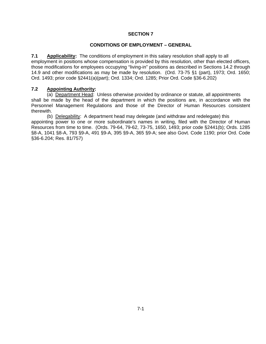#### **CONDITIONS OF EMPLOYMENT – GENERAL**

**7.1 Applicability:** The conditions of employment in this salary resolution shall apply to all employment in positions whose compensation is provided by this resolution, other than elected officers, those modifications for employees occupying "living-in" positions as described in Sections 14.2 through 14.9 and other modifications as may be made by resolution. (Ord. 73-75 §1 (part), 1973; Ord. 1650; Ord. 1493; prior code §2441(a)(part); Ord. 1334; Ord. 1285; Prior Ord. Code §36-6.202)

#### **7.2 Appointing Authority:**

(a) Department Head: Unless otherwise provided by ordinance or statute, all appointments shall be made by the head of the department in which the positions are, in accordance with the Personnel Management Regulations and those of the Director of Human Resources consistent therewith.

(b) Delegability: A department head may delegate (and withdraw and redelegate) this appointing power to one or more subordinate's names in writing, filed with the Director of Human Resources from time to time. (Ords. 79-64, 79-62, 73-75, 1650, 1493; prior code §2441(b); Ords. 1285 §8-A, 1041 §8-A, 793 §9-A, 491 §9-A, 395 §9-A, 365 §9-A; see also Govt. Code 1190; prior Ord. Code §36-6.204; Res. 81/757)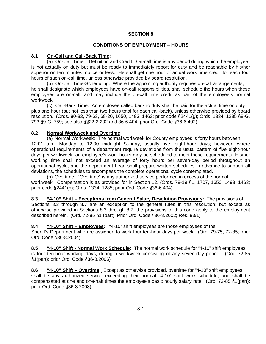# **CONDITIONS OF EMPLOYMENT – HOURS**

# **8.1 On-Call and Call-Back Time:**

(a) On-Call Time – Definition and Credit: On-call time is any period during which the employee is not actually on duty but must be ready to immediately report for duty and be reachable by his/her superior on ten minutes' notice or less. He shall get one hour of actual work time credit for each four hours of such on-call time, unless otherwise provided by board resolution.

(b) On-Call Time-Scheduling: Where the appointing authority requires on-call arrangements, he shall designate which employees have on-call responsibilities, shall schedule the hours when these employees are on-call, and may include the on-call time credit as part of the employee's normal workweek.

(c) Call-Back Time: An employee called back to duty shall be paid for the actual time on duty plus one hour (but not less than two hours total for each call-back), unless otherwise provided by board resolution. (Ords. 80-83, 79-63, 68-20, 1650, 1493, 1463; prior code §2441(g); Ords. 1334, 1285 §8-G, 793 §9-G, 759; see also §§22-2.202 and 36-6.404; prior Ord. Code §36-6.402)

# **8.2 Normal Workweek and Overtime:**

(a) Normal Workweek: The normal workweek for County employees is forty hours between 12:01 a.m. Monday to 12:00 midnight Sunday, usually five, eight-hour days; however, where operational requirements of a department require deviations from the usual pattern of five eight-hour days per workweek, an employee's work hours may be scheduled to meet these requirements. His/her working time shall not exceed an average of forty hours per seven-day period throughout an operational cycle, and the department head shall prepare written schedules in advance to support all deviations, the schedules to encompass the complete operational cycle contemplated.

(b) Overtime: "Overtime" is any authorized service performed in excess of the normal workweek. Compensation is as provided for in Section 12. (Ords. 78-19 §1, 1707, 1650, 1493, 1463; prior code §2441(h); Ords. 1334, 1285; prior Ord. Code §36-6.404)

**8.3 "4-10" Shift – Exceptions from General Salary Resolution Provisions:** The provisions of Sections 8.3 through 8.7 are an exception to the general rules in this resolution; but except as otherwise provided in Sections 8.3 through 8.7, the provisions of this code apply to the employment described herein. (Ord. 72-85 §1 (part); Prior Ord. Code §36-8.2002; Res. 83/1)

**8.4 "4-10" Shift – Employees:** "4-10" shift employees are those employees of the Sheriff's Department who are assigned to work four ten-hour days per week. (Ord. 79-75, 72-85; prior Ord. Code §36-8.2004)

**8.5 "4-10" Shift - Normal Work Schedule:** The normal work schedule for "4-10" shift employees is four ten-hour working days, during a workweek consisting of any seven-day period. (Ord. 72-85 §1(part); prior Ord. Code §36-8.2006)

**8.6 "4-10" Shift – Overtime:** Except as otherwise provided, overtime for "4-10" shift employees shall be any authorized service exceeding their normal "4-10" shift work schedule, and shall be compensated at one and one-half times the employee's basic hourly salary rate. (Ord. 72-85 §1(part); prior Ord. Code §36-8.2008)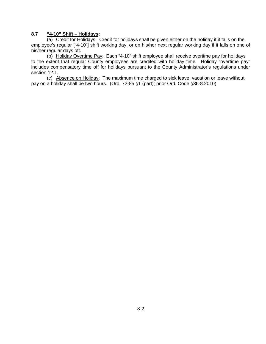#### **8.7 "4-10" Shift – Holidays:**

(a) Credit for Holidays: Credit for holidays shall be given either on the holiday if it falls on the employee's regular ["4-10"] shift working day, or on his/her next regular working day if it falls on one of his/her regular days off.

(b) Holiday Overtime Pay: Each "4-10" shift employee shall receive overtime pay for holidays to the extent that regular County employees are credited with holiday time. Holiday "overtime pay" includes compensatory time off for holidays pursuant to the County Administrator's regulations under section 12.1.

(c) Absence on Holiday: The maximum time charged to sick leave, vacation or leave without pay on a holiday shall be two hours. (Ord. 72-85 §1 (part); prior Ord. Code §36-8.2010)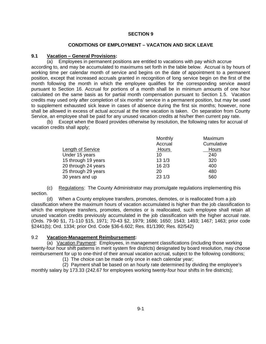#### **CONDITIONS OF EMPLOYMENT – VACATION AND SICK LEAVE**

#### **9.1 Vacation – General Provisions:**

(a) Employees in permanent positions are entitled to vacations with pay which accrue according to, and may be accumulated to maximums set forth in the table below. Accrual is by hours of working time per calendar month of service and begins on the date of appointment to a permanent position, except that increased accruals granted in recognition of long service begin on the first of the month following the month in which the employee qualifies for the corresponding service award pursuant to Section 16. Accrual for portions of a month shall be in minimum amounts of one hour calculated on the same basis as for partial month compensation pursuant to Section 1.5. Vacation credits may used only after completion of six months' service in a permanent position, but may be used to supplement exhausted sick leave in cases of absence during the first six months; however, none shall be allowed in excess of actual accrual at the time vacation is taken. On separation from County Service, an employee shall be paid for any unused vacation credits at his/her then current pay rate.

(b) Except when the Board provides otherwise by resolution, the following rates for accrual of vacation credits shall apply;

|                          | Monthly      | Maximum      |
|--------------------------|--------------|--------------|
|                          | Accrual      | Cumulative   |
| <b>Length of Service</b> | <u>Hours</u> | <b>Hours</b> |
| Under 15 years           | 10           | 240          |
| 15 through 19 years      | 131/3        | 320          |
| 20 through 24 years      | 162/3        | 400          |
| 25 through 29 years      | 20           | 480          |
| 30 years and up          | 231/3        | 560          |

(c) Regulations: The County Administrator may promulgate regulations implementing this section.

(d) When a County employee transfers, promotes, demotes, or is reallocated from a job classification where the maximum hours of vacation accumulated is higher than the job classification to which the employee transfers, promotes, demotes or is reallocated, such employee shall retain all unused vacation credits previously accumulated in the job classification with the higher accrual rate. (Ords. 79-90 §1, 71-110 §15, 1971; 70-43 §2, 1979; 1686; 1650; 1543; 1493; 1467; 1463; prior code §2441(b); Ord. 1334; prior Ord. Code §36-6.602; Res. 81/1390; Res. 82/542)

#### 9.2 **Vacation-Management Reimbursement:**

(a) Vacation Payment: Employees, in management classifications (including those working twenty-four hour shift patterns in merit system fire districts) designated by board resolution, may choose reimbursement for up to one-third of their annual vacation accrual, subject to the following conditions;

(1) The choice can be made only once in each calendar year;

(2) Payment shall be based on an hourly rate determined by dividing the employee's monthly salary by 173.33 (242.67 for employees working twenty-four hour shifts in fire districts);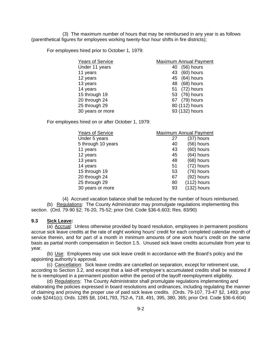(3) The maximum number of hours that may be reimbursed in any year is as follows (parenthetical figures for employees working twenty-four hour shifts in fire districts);

For employees hired prior to October 1, 1979:

| <b>Years of Service</b> | <b>Maximum Annual Payment</b> |
|-------------------------|-------------------------------|
| Under 11 years          | $(56)$ hours<br>40            |
| 11 years                | $(60)$ hours<br>43            |
| 12 years                | 45 (64) hours                 |
| 13 years                | $(68)$ hours<br>48            |
| 14 years                | 51 (72) hours                 |
| 15 through 19           | 53 (76) hours                 |
| 20 through 24           | (79) hours<br>67              |
| 25 through 29           | 80 (112) hours                |
| 30 years or more        | 93 (132) hours                |
|                         |                               |

For employees hired on or after October 1, 1979:

| <b>Years of Service</b> |    | Maximum Annual Payment |
|-------------------------|----|------------------------|
| Under 5 years           | 27 | $(37)$ hours           |
| 5 through 10 years      | 40 | $(56)$ hours           |
| 11 years                | 43 | $(60)$ hours           |
| 12 years                | 45 | $(64)$ hours           |
| 13 years                | 48 | $(68)$ hours           |
| 14 years                | 51 | (72) hours             |
| 15 through 19           | 53 | (76) hours             |
| 20 through 24           | 67 | $(92)$ hours           |
| 25 through 29           | 80 | $(112)$ hours          |
| 30 years or more        | 93 | $(132)$ hours          |

(4) Accrued vacation balance shall be reduced by the number of hours reimbursed.

(b) Regulations: The County Administrator may promulgate regulations implementing this section. (Ord. 79-90 §2; 76-20, 75-52; prior Ord. Code §36-6.603; Res. 83/90)

#### **9.3 Sick Leave:**

(a) Accrual: Unless otherwise provided by board resolution, employees in permanent positions accrue sick leave credits at the rate of eight working hours' credit for each completed calendar month of service therein, and for part of a month in minimum amounts of one work hour's credit on the same basis as partial month compensation in Section 1.5. Unused sick leave credits accumulate from year to year.

(b) Use: Employees may use sick leave credit in accordance with the Board's policy and the appointing authority's approval.

(c) Cancellation: Sick leave credits are cancelled on separation, except for retirement use, according to Section 3.2, and except that a laid-off employee's accumulated credits shall be restored if he is reemployed in a permanent position within the period of the layoff reemployment eligibility.

(d) Regulations: The County Administrator shall promulgate regulations implementing and elaborating the policies expressed in board resolutions and ordinances, including regulating the manner of claiming and proving the proper use of paid sick leave credits. (Ords. 79-107, 73-47 §2, 1493; prior code §2441(c); Ords. 1285 §8, 1041,793, 752-A, 718, 491, 395, 380, 365; prior Ord. Code §36-6.604)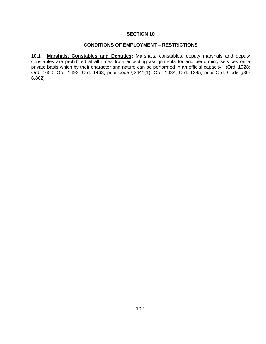#### **CONDITIONS OF EMPLOYMENT – RESTRICTIONS**

**10.1 Marshals, Constables and Deputies:** Marshals, constables, deputy marshals and deputy constables are prohibited at all times from accepting assignments for and performing services on a private basis which by their character and nature can be performed in an official capacity. (Ord. 1928; Ord. 1650; Ord. 1493; Ord. 1463; prior code §2441(1); Ord. 1334; Ord. 1285; prior Ord. Code §36- 6.802)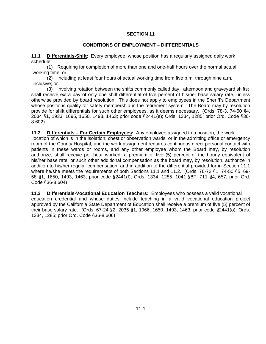#### **CONDITIONS OF EMPLOYMENT – DIFFERENTIALS**

**11.1 Differentials-Shift:** Every employee, whose position has a regularly assigned daily work schedule;

(1) Requiring for completion of more than one and one-half hours over the normal actual working time; or

(2) Including at least four hours of actual working time from five p.m. through nine a.m. inclusive; or

(3) Involving rotation between the shifts commonly called day, afternoon and graveyard shifts; shall receive extra pay of only one shift differential of five percent of his/her base salary rate, unless otherwise provided by board resolution. This does not apply to employees in the Sheriff's Department whose positions qualify for safety membership in the retirement system. The Board may by resolution provide for shift differentials for such other employees, as it deems necessary. (Ords. 78-3, 74-50 §4, 2034 §1, 1933, 1695, 1650, 1493, 1463; prior code §2441(e); Ords. 1334, 1285; prior Ord. Code §36- 8.602)

**11.2 Differentials – For Certain Employees:** Any employee assigned to a position, the work location of which is in the isolation, chest or observation wards, or in the admitting office or emergency room of the County Hospital, and the work assignment requires continuous direct personal contact with patients in these wards or rooms, and any other employee whom the Board may, by resolution authorize, shall receive per hour worked, a premium of five (5) percent of the hourly equivalent of his/her base rate, or such other additional compensation as the board may, by resolution, authorize in addition to his/her regular compensation, and in addition to the differential provided for in Section 11.1 where he/she meets the requirements of both Sections 11.1 and 11.2. (Ords. 76-72 §1, 74-50 §5, 69-

58 §1, 1650, 1493, 1463; prior code §2441(f); Ords. 1334, 1285, 1041 §8F, 711 §4, 657; prior Ord.

Code §36-8.604)

**11.3 Differentials-Vocational Education Teachers:** Employees who possess a valid vocational education credential and whose duties include teaching in a valid vocational education project approved by the California State Department of Education shall receive a premium of five (5) percent of their base salary rate. (Ords. 67-24 §2, 2035 §1, 1966, 1650, 1493, 1463; prior code §2441(o); Ords. 1334, 1285; prior Ord. Code §36-8.606)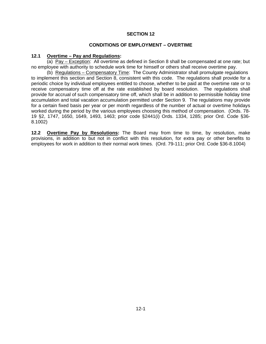#### **CONDITIONS OF EMPLOYMENT – OVERTIME**

#### **12.1 Overtime – Pay and Regulations:**

(a) Pay – Exception: All overtime as defined in Section 8 shall be compensated at one rate; but no employee with authority to schedule work time for himself or others shall receive overtime pay.

(b) Regulations – Compensatory Time: The County Administrator shall promulgate regulations to implement this section and Section 8, consistent with this code. The regulations shall provide for a periodic choice by individual employees entitled to choose, whether to be paid at the overtime rate or to receive compensatory time off at the rate established by board resolution. The regulations shall provide for accrual of such compensatory time off, which shall be in addition to permissible holiday time accumulation and total vacation accumulation permitted under Section 9. The regulations may provide for a certain fixed basis per year or per month regardless of the number of actual or overtime holidays worked during the period by the various employees choosing this method of compensation. (Ords. 78- 19 §2, 1747, 1650, 1649, 1493, 1463; prior code §2441(i) Ords. 1334, 1285; prior Ord. Code §36- 8.1002)

**12.2 Overtime Pay by Resolutions:** The Board may from time to time, by resolution, make provisions, in addition to but not in conflict with this resolution, for extra pay or other benefits to employees for work in addition to their normal work times. (Ord. 79-111; prior Ord. Code §36-8.1004)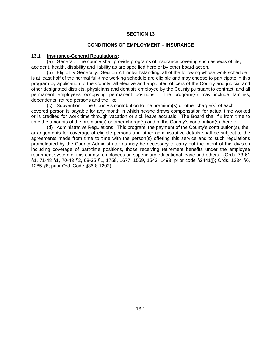#### **CONDITIONS OF EMPLOYMENT – INSURANCE**

#### **13.1 Insurance-General Regulations:**

(a) General: The county shall provide programs of insurance covering such aspects of life, accident, health, disability and liability as are specified here or by other board action.

(b) Eligibility Generally: Section 7.1 notwithstanding, all of the following whose work schedule is at least half of the normal full-time working schedule are eligible and may choose to participate in this program by application to the County; all elective and appointed officers of the County and judicial and other designated districts, physicians and dentists employed by the County pursuant to contract, and all permanent employees occupying permanent positions. The program(s) may include families, dependents, retired persons and the like.

(c) Subvention: The County's contribution to the premium(s) or other charge(s) of each covered person is payable for any month in which he/she draws compensation for actual time worked or is credited for work time through vacation or sick leave accruals. The Board shall fix from time to time the amounts of the premium(s) or other charge(s) and of the County's contribution(s) thereto.

(d) Administrative Regulations: This program, the payment of the County's contribution(s), the arrangements for coverage of eligible persons and other administrative details shall be subject to the agreements made from time to time with the person(s) offering this service and to such regulations promulgated by the County Administrator as may be necessary to carry out the intent of this division including coverage of part-time positions, those receiving retirement benefits under the employee retirement system of this county, employees on stipendiary educational leave and others. (Ords. 73-61 §1, 71-48 §1, 70-43 §2, 68-35 §1, 1758, 1677, 1559, 1543, 1493; prior code §2441(j); Ords. 1334 §6, 1285 §8; prior Ord. Code §36-8.1202)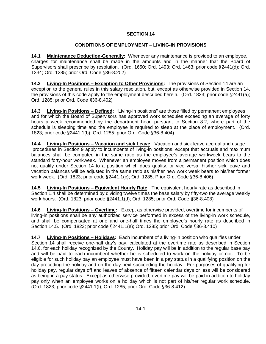# **CONDITIONS OF EMPLOYMENT – LIVING-IN PROVISIONS**

**14.1 Maintenance Deduction-Generally:** Whenever any maintenance is provided to an employee, charges for maintenance shall be made in the amounts and in the manner that the Board of Supervisors shall prescribe by resolution. (Ord. 1650; Ord. 1493; Ord. 1463; prior code §2441(d); Ord. 1334; Ord. 1285; prior Ord. Code §36-8.202)

**14.2 Living-In Positions – Exception to Other Provisions:** The provisions of Section 14 are an exception to the general rules in this salary resolution, but, except as otherwise provided in Section 14, the provisions of this code apply to the employment described herein. (Ord. 1823; prior code §2441(a); Ord. 1285; prior Ord. Code §36-8.402)

**14.3 Living-In Positions – Defined:** "Living-in positions" are those filled by permanent employees and for which the Board of Supervisors has approved work schedules exceeding an average of forty hours a week recommended by the department head pursuant to Section 8.2, where part of the schedule is sleeping time and the employee is required to sleep at the place of employment. (Ord. 1823; prior code §2441.1(b); Ord. 1285; prior Ord. Code §36-8.404)

**14.4 Living-In Positions – Vacation and sick Leave:** Vacation and sick leave accrual and usage procedures in Section 9 apply to incumbents of living-in positions, except that accruals and maximum balances shall be computed in the same ratio as the employee's average workweek bears to the standard forty-hour workweek. Whenever an employee moves from a permanent position which does not qualify under Section 14 to a position which does quality, or vice versa, his/her sick leave and vacation balances will be adjusted in the same ratio as his/her new work week bears to his/her former work week. (Ord. 1823; prior code §2441.1(c); Ord. 1285; Prior Ord. Code §36-8.406)

**14.5** Living-In Positions – Equivalent Hourly Rate: The equivalent hourly rate as described in Section 1.4 shall be determined by dividing twelve times the base salary by fifty-two the average weekly work hours. (Ord. 1823; prior code §2441.1(d); Ord. 1285; prior Ord. Code §36-8.408)

**14.6 Living-In Positions – Overtime:** Except as otherwise provided, overtime for incumbents of living-in positions shall be any authorized service performed in excess of the living-in work schedule, and shall be compensated at one and one-half times the employee's hourly rate as described in Section 14.5. (Ord. 1823; prior code §2441.1(e); Ord. 1285; prior Ord. Code §36-8.410)

**14.7 Living-In Positions – Holidays:** Each incumbent of a living-in position who qualifies under Section 14 shall receive one-half day's pay, calculated at the overtime rate as described in Section 14.6, for each holiday recognized by the County. Holiday pay will be in addition to the regular base pay and will be paid to each incumbent whether he is scheduled to work on the holiday or not. To be eligible for such holiday pay an employee must have been in a pay status in a qualifying position on the day preceding the holiday and on the day next succeeding the holiday. For purposes of qualifying for holiday pay, regular days off and leaves of absence of fifteen calendar days or less will be considered as being in a pay status. Except as otherwise provided, overtime pay will be paid in addition to holiday pay only when an employee works on a holiday which is not part of his/her regular work schedule. (Ord. 1823; prior code §2441.1(f); Ord. 1285; prior Ord. Code §36-8.412)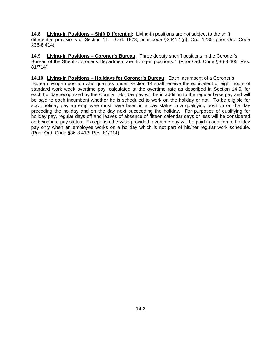**14.8 Living-In Positions – Shift Differential:** Living-in positions are not subject to the shift differential provisions of Section 11. (Ord. 1823; prior code §2441.1(g); Ord. 1285; prior Ord. Code §36-8.414)

**14.9 Living-In Positions – Coroner's Bureau:** Three deputy sheriff positions in the Coroner's Bureau of the Sheriff-Coroner's Department are "living-in positions." (Prior Ord. Code §36-8.405; Res. 81/714)

**14.10 Living-In Positions – Holidays for Coroner's Bureau:** Each incumbent of a Coroner's Bureau living-in position who qualifies under Section 14 shall receive the equivalent of eight hours of standard work week overtime pay, calculated at the overtime rate as described in Section 14.6, for each holiday recognized by the County. Holiday pay will be in addition to the regular base pay and will be paid to each incumbent whether he is scheduled to work on the holiday or not. To be eligible for such holiday pay an employee must have been in a pay status in a qualifying position on the day preceding the holiday and on the day next succeeding the holiday. For purposes of qualifying for holiday pay, regular days off and leaves of absence of fifteen calendar days or less will be considered as being in a pay status. Except as otherwise provided, overtime pay will be paid in addition to holiday pay only when an employee works on a holiday which is not part of his/her regular work schedule. (Prior Ord. Code §36-8.413; Res. 81/714)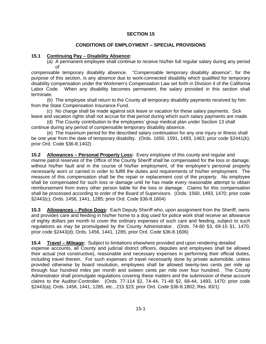# **CONDITIONS OF EMPLOYMENT – SPECIAL PROVISIONS**

# **15.1 Continuing Pay – Disability Absence:**

(a) A permanent employee shall continue to receive his/her full regular salary during any period of

compensable temporary disability absence. "Compensable temporary disability absence", for the purpose of this section, is any absence due to work-connected disability which qualified for temporary disability compensation under the Workmen's Compensation Law set forth in Division 4 of the California Labor Code. When any disability becomes permanent, the salary provided in this section shall terminate.

(b) The employee shall return to the County all temporary disability payments received by him from the State Compensation Insurance Fund.

(c) No charge shall be made against sick leave or vacation for these salary payments. Sick leave and vacation rights shall not accrue for that period during which such salary payments are made.

(d) The County contribution to the employees' group medical plan under Section 13 shall continue during any period of compensable temporary disability absence.

(e) The maximum period for the described salary continuation for any one injury or illness shall be one year from the date of temporary disability. (Ords. 1650, 1591, 1493, 1463; prior code §2441(k); prior Ord. Code §36-8.1402)

**15.2 Allowances – Personal Property Loss:** Every employee of this county and regular and

marine patrol reserves of the Office of the County Sheriff shall be compensated for the loss or damage, without his/her fault and in the course of his/her employment, of the employee's personal property necessarily worn or carried in order to fulfill the duties and requirements of his/her employment. The measure of this compensation shall be the repair or replacement cost of the property. No employee shall be compensated for such loss or damage until he has made every reasonable attempt to obtain reimbursement from every other person liable for the loss or damage. Claims for this compensation shall be processed according to order of the Board of Supervisors. (Ords. 1560, 1493, 1470; prior code §2443(c); Ords. 1456, 1441, 1285; prior Ord. Code §36-8.1604)

**15.3 Allowances – Police Dogs:** Each Deputy Sheriff who, upon assignment from the Sheriff, owns and provides care and feeding in his/her home to a dog used for police work shall receive an allowance of eighty dollars per month to cover the ordinary expenses of such care and feeding, subject to such regulations as may be promulgated by the County Administrator. (Ords. 74-80 §3, 69-15 §1, 1470; prior code §2443(d); Ords. 1456, 1441, 1285; prior Ord. Code §36-8.1606)

**15.4 Travel – Mileage:** Subject to limitations elsewhere provided and upon rendering detailed expense accounts, all County and judicial district officers, deputies and employees shall be allowed their actual (not constructive), reasonable and necessary expenses in performing their official duties, including travel therein. For such expenses of travel necessarily done by private automobile, unless provided otherwise by board resolution, employees shall be allowed twenty-two cents per mile up through four hundred miles per month and sixteen cents per mile over four hundred. The County Administrator shall promulgate regulations covering these matters and the submission of these account claims to the Auditor-Controller. (Ords. 77-114 §2, 74-44, 71-48 §2, 68-44, 1493, 1470; prior code §2443(a); Ords. 1456, 1441, 1285, etc., 215 §23; prior Ord. Code §36-8.1802; Res. 83/1)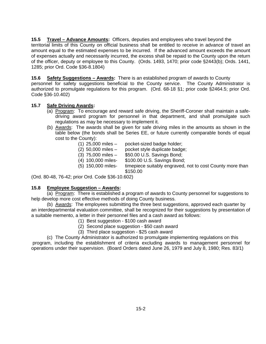**15.5 Travel – Advance Amounts:** Officers, deputies and employees who travel beyond the territorial limits of this County on official business shall be entitled to receive in advance of travel an amount equal to the estimated expenses to be incurred. If the advanced amount exceeds the amount of expenses actually and necessarily incurred, the excess shall be repaid to the County upon the return of the officer, deputy or employee to this County. (Ords. 1493, 1470; prior code §2443(b); Ords. 1441, 1285; prior Ord. Code §36-8.1804)

**15.6 Safety Suggestions – Awards:** There is an established program of awards to County personnel for safety suggestions beneficial to the County service. The County Administrator is authorized to promulgate regulations for this program. (Ord. 68-18 §1; prior code §2464.5; prior Ord. Code §36-10.402)

# **15.7 Safe Driving Awards:**

- (a) Program: To encourage and reward safe driving, the Sheriff-Coroner shall maintain a safedriving award program for personnel in that department, and shall promulgate such regulations as may be necessary to implement it.
- (b) Awards: The awards shall be given for safe driving miles in the amounts as shown in the table below (the bonds shall be Series EE, or future currently comparable bonds of equal cost to the County):
	- (1) 25,000 miles pocket-sized badge holder;
	- (2) 50,000 miles pocket style duplicate badge;
	- (3) 75,000 miles \$50.00 U.S. Savings Bond;
	- (4) 100,000 miles- \$100.00 U.S. Savings Bond;
	- (5) 150,000 miles- timepiece suitably engraved, not to cost County more than \$150.00

(Ord. 80-48, 76-42; prior Ord. Code §36-10.602)

# **15.8 Employee Suggestion – Awards:**

(a) Program: There is established a program of awards to County personnel for suggestions to help develop more cost effective methods of doing County business.

(b) Awards: The employees submitting the three best suggestions, approved each quarter by an interdepartmental evaluation committee, shall be recognized for their suggestions by presentation of a suitable memento, a letter in their personnel files and a cash award as follows:

- (1) Best suggestion \$100 cash award
- (2) Second place suggestion \$50 cash award
- (3) Third place suggestion \$25 cash award

(c) The County Administrator is authorized to promulgate implementing regulations on this program, including the establishment of criteria excluding awards to management personnel for operations under their supervision. (Board Orders dated June 26, 1979 and July 8, 1980; Res. 83/1)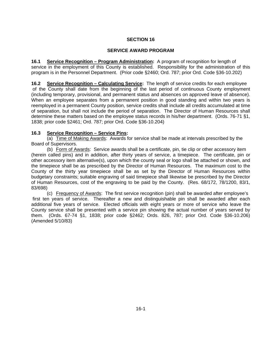# **SERVICE AWARD PROGRAM**

**16.1 Service Recognition – Program Administration:** A program of recognition for length of service in the employment of this County is established. Responsibility for the administration of this program is in the Personnel Department. (Prior code §2460; Ord. 787; prior Ord. Code §36-10.202)

**16.2 Service Recognition – Calculating Service:** The length of service credits for each employee of the County shall date from the beginning of the last period of continuous County employment (including temporary, provisional, and permanent status and absences on approved leave of absence). When an employee separates from a permanent position in good standing and within two years is reemployed in a permanent County position, service credits shall include all credits accumulated at time of separation, but shall not include the period of separation. The Director of Human Resources shall determine these matters based on the employee status records in his/her department. (Ords. 76-71 §1, 1838; prior code §2461; Ord. 787; prior Ord. Code §36-10.204)

# **16.3 Service Recognition – Service Pins:**

(a) Time of Making Awards: Awards for service shall be made at intervals prescribed by the Board of Supervisors.

(b) Form of Awards: Service awards shall be a certificate, pin, tie clip or other accessory item (herein called pins) and in addition, after thirty years of service, a timepiece. The certificate, pin or other accessory item alternative(s), upon which the county seal or logo shall be attached or shown, and the timepiece shall be as prescribed by the Director of Human Resources. The maximum cost to the County of the thirty year timepiece shall be as set by the Director of Human Resources within budgetary constraints; suitable engraving of said timepiece shall likewise be prescribed by the Director of Human Resources, cost of the engraving to be paid by the County. (Res. 68/172, 78/1200, 83/1, 83/698)

(c) Frequency of Awards: The first service recognition (pin) shall be awarded after employee's first ten years of service. Thereafter a new and distinguishable pin shall be awarded after each additional five years of service. Elected officials with eight years or more of service who leave the County service shall be presented with a service pin showing the actual number of years served by them. (Ords. 67-74 §1, 1838; prior code §2462; Ords. 826, 787; prior Ord. Code §36-10.206) (Amended 5/10/83)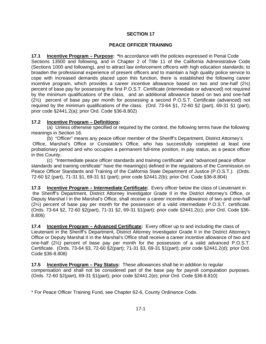#### **PEACE OFFICER TRAINING**

**17.1 Incentive Program – Purpose: \***In accordance with the policies expressed in Penal Code Sections 13500 and following, and in Chapter 2 of Title 11 of the California Administrative Code (Sections 1000 and following), and to attract law enforcement officers with high education standards; to broaden the professional experience of present officers and to maintain a high quality police service to cope with increased demands placed upon this function, there is established the following career incentive program, which provides a career incentive allowance based on two and one-half (2½) percent of base pay for possessing the first P.O.S.T. Certificate (intermediate or advanced) not required by the minimum qualifications of the class, and an additional allowance based on two and one-half (2½) percent of base pay per month for possessing a second P.O.S.T. Certificate (advanced) not required by the minimum qualifications of the class. (Ord. 73-64 §1, 72-60 §2 (part), 69-31 §1 (part); prior code §2441.2(a); prior Ord. Code §36-8.802)

#### **17.2 Incentive Program – Definitions:**

(a) Unless otherwise specified or required by the context, the following terms have the following meanings in Section 16.

(b) "Officer" means any peace officer member of the Sheriff's Department, District Attorney's Office, Marshal's Office or Constable's Office, who has successfully completed at least one probationary period and who occupies a permanent full-time position, in pay status, as a peace officer in this County.

(c) "Intermediate peace officer standards and training certificate" and "advanced peace officer standards and training certificate" have the meaning(s) defined in the regulations of the Commission on Peace Officer Standards and Training of the California State Department of Justice (P.O.S.T.). (Ords. 72-60 §2 (part), 71-31 §1, 69-31 §1 (part); prior code §2441.2(b); prior Ord. Code §36-8.804)

**17.3** Incentive Program – Intermediate Certificate: Every officer below the class of Lieutenant in the Sheriff's Department, District Attorney Investigator Grade II in the District Attorney's Office, or Deputy Marshal I in the Marshal's Office, shall receive a career incentive allowance of two and one-half (2½) percent of base pay per month for the possession of a valid intermediate P.O.S.T. certificate. (Ords. 73-64 §2, 72-60 §2(part), 71-31 §2, 69-31 §1(part); prior code §2441.2(c); prior Ord. Code §36- 8.806)

**17.4 Incentive Program – Advanced Certificate:** Every officer up to and including the class of Lieutenant in the Sheriff's Department, District Attorney Investigator Grade II in the District Attorney's Office or Deputy Marshal II in the Marshal's Office shall receive a career incentive allowance of two and one-half (2½) percent of base pay per month for the possession of a valid advanced P.O.S.T. Certificate. (Ords. 73-64 §3, 72-60 §2(part); 71-31 §3, 69-31 §1(part); prior code §2441.2(d); prior Ord. Code §36-8.808)

**17.5 Incentive Program – Pay Status:** These allowances shall be in addition to regular compensation and shall not be considered part of the base pay for payroll computation purposes. (Ords. 72-60 §2(part), 69-31 §1(part); prior code §2441.2(e); prior Ord. Code §36-8.810)

\* For Peace Officer Training Fund, see Chapter 62-6, County Ordinance Code.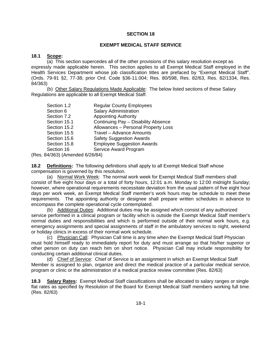#### **EXEMPT MEDICAL STAFF SERVICE**

#### **18.1 Scope:**

(a) This section supercedes all of the other provisions of this salary resolution except as expressly made applicable herein. This section applies to all Exempt Medical Staff employed in the Health Services Department whose job classification titles are prefaced by "Exempt Medical Staff". (Ords. 79-91 §2, 77-38; prior Ord. Code §36-11.004; Res. 80/598, Res. 82/63, Res. 82/1334, Res. 84/363)

(b) Other Salary Regulations Made Applicable: The below listed sections of these Salary Regulations are applicable to all Exempt Medical Staff.

| Section 1.2              | <b>Regular County Employees</b>     |  |
|--------------------------|-------------------------------------|--|
| Section 6                | <b>Salary Administration</b>        |  |
| Section 7.2              | <b>Appointing Authority</b>         |  |
| Section 15.1             | Continuing Pay - Disability Absence |  |
| Section 15.2             | Allowances - Personal Property Loss |  |
| Section 15.5             | Travel - Advance Amounts            |  |
| Section 15.6             | <b>Safety Suggestion Awards</b>     |  |
| Section 15.8             | <b>Employee Suggestion Awards</b>   |  |
| Section 16               | Service Award Program               |  |
| $1/0.001/1$ $1/0.00/0.1$ |                                     |  |

(Res. 84/363) (Amended 6/26/84)

**18.2 Definitions:** The following definitions shall apply to all Exempt Medical Staff whose compensation is governed by this resolution.

(a) Normal Work Week: The normal work week for Exempt Medical Staff members shall consist of five eight hour days or a total of forty hours, 12:01 a.m. Monday to 12:00 midnight Sunday; however, where operational requirements necessitate deviation from the usual pattern of five eight hour days per work week, an Exempt Medical Staff member's work hours may be schedule to meet these requirements. The appointing authority or designee shall prepare written schedules in advance to encompass the complete operational cycle contemplated.

(b) Additional Duties: Additional duties may be assigned which consist of any authorized service performed in a clinical program or facility which is outside the Exempt Medical Staff member's normal duties and responsibilities and which is performed outside of their normal work hours, e.g. emergency assignments and special assignments of staff in the ambulatory services to night, weekend or holiday clinics in excess of their normal work schedule.

(c) Physician Call: Physician Call time is any time when the Exempt Medical Staff Physician must hold himself ready to immediately report for duty and must arrange so that his/her superior or other person on duty can reach him on short notice. Physician Call may include responsibility for conducting certain additional clinical duties.

(d) Chief of Service: Chief of Service is an assignment in which an Exempt Medical Staff Member is assigned to plan, organize and direct the medical practice of a particular medical service, program or clinic or the administration of a medical practice review committee (Res. 82/63)

**18.3 Salary Rates:** Exempt Medical Staff classifications shall be allocated to salary ranges or single flat rates as specified by Resolution of the Board for Exempt Medical Staff members working full time. (Res. 82/63)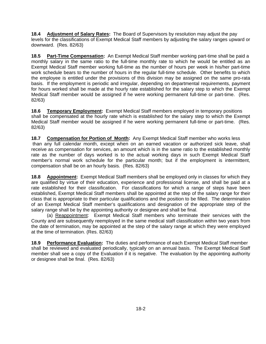**18.4 Adjustment of Salary Rates:** The Board of Supervisors by resolution may adjust the pay levels for the classifications of Exempt Medical Staff members by adjusting the salary ranges upward or downward. (Res. 82/63)

**18.5 Part-Time Compensation:** An Exempt Medical Staff member working part-time shall be paid a monthly salary in the same ratio to the full-time monthly rate to which he would be entitled as an Exempt Medical Staff member working full-time as the number of hours per week in his/her part-time work schedule bears to the number of hours in the regular full-time schedule. Other benefits to which the employee is entitled under the provisions of this division may be assigned on the same pro-rata basis. If the employment is periodic and irregular, depending on departmental requirements, payment for hours worked shall be made at the hourly rate established for the salary step to which the Exempt Medical Staff member would be assigned if he were working permanent full-time or part-time. (Res. 82/63)

**18.6 Temporary Employment:** Exempt Medical Staff members employed in temporary positions shall be compensated at the hourly rate which is established for the salary step to which the Exempt Medical Staff member would be assigned if he were working permanent full-time or part-time. (Res. 82/63)

**18.7 Compensation for Portion of Month:** Any Exempt Medical Staff member who works less than any full calendar month, except when on an earned vacation or authorized sick leave, shall receive as compensation for services, an amount which is in the same ratio to the established monthly rate as the number of days worked is to the actual working days in such Exempt Medical Staff member's normal work schedule for the particular month; but if the employment is intermittent, compensation shall be on an hourly basis. (Res. 82/63)

**18.8 Appointment:** Exempt Medical Staff members shall be employed only in classes for which they are qualified by virtue of their education, experience and professional license, and shall be paid at a rate established for their classification. For classifications for which a range of steps have been established, Exempt Medical Staff members shall be appointed at the step of the salary range for their class that is appropriate to their particular qualifications and the position to be filled. The determination of an Exempt Medical Staff member's qualifications and designation of the appropriate step of the salary range shall be by the appointing authority or designee and shall be final.

 (a) Reappointment:Exempt Medical Staff members who terminate their services with the County and are subsequently reemployed in the same medical staff classification within two years from the date of termination, may be appointed at the step of the salary range at which they were employed at the time of termination. (Res. 82/63)

**18.9 Performance Evaluation:** The duties and performance of each Exempt Medical Staff member shall be reviewed and evaluated periodically, typically on an annual basis. The Exempt Medical Staff member shall see a copy of the Evaluation if it is negative. The evaluation by the appointing authority or designee shall be final. (Res. 82/63)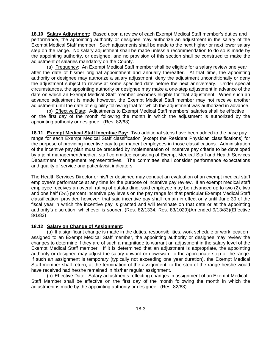**18.10 Salary Adjustment:** Based upon a review of each Exempt Medical Staff member's duties and performance, the appointing authority or designee may authorize an adjustment in the salary of the Exempt Medical Staff member. Such adjustments shall be made to the next higher or next lower salary step on the range. No salary adjustment shall be made unless a recommendation to do so is made by the appointing authority, or designee, and no provision of this section shall be construed to make the adjustment of salaries mandatory on the County.

(a) Frequency: An Exempt Medical Staff member shall be eligible for a salary review one year after the date of his/her original appointment and annually thereafter. At that time, the appointing authority or designee may authorize a salary adjustment, deny the adjustment unconditionally or deny the adjustment subject to review at some specified date before the next anniversary. Under special circumstances, the appointing authority or designee may make a one-step adjustment in advance of the date on which an Exempt Medical Staff member becomes eligible for that adjustment. When such an advance adjustment is made however, the Exempt Medical Staff member may not receive another adjustment until the date of eligibility following that for which the adjustment was authorized in advance.

(b) Effective Date: Adjustments to Exempt Medical Staff members' salaries shall be effective on the first day of the month following the month in which the adjustment is authorized by the appointing authority or designee. (Res. 82/63)

**18.11 Exempt Medical Staff Incentive Pay:** Two additional steps have been added to the base pay range for each Exempt Medical Staff classification (except the Resident Physician classifications) for the purpose of providing incentive pay to permanent employees in those classifications. Administration of the incentive pay plan must be preceded by implementation of incentive pay criteria to be developed by a joint management/medical staff committee consisting of Exempt Medical Staff and Health Services Department management representatives. The committee shall consider performance expectations and quality of service and patient/visit indicators.

The Health Services Director or his/her designee may conduct an evaluation of an exempt medical staff employee's performance at any time for the purpose of incentive pay review. If an exempt medical staff employee receives an overall rating of outstanding, said employee may be advanced up to two (2), two and one half (2½) percent incentive pay levels on the pay range for that particular Exempt Medical Staff classification, provided however, that said incentive pay shall remain in effect only until June 30 of the fiscal year in which the incentive pay is granted and will terminate on that date or at the appointing authority's discretion, whichever is sooner. (Res. 82/1334, Res. 83/1029)(Amended 9/13/83)(Effective 8/1/83)

# **18.12 Salary on Change of Assignment:**

(a) If a significant change is made in the duties, responsibilities, work schedule or work location assigned to an Exempt Medical Staff member, the appointing authority or designee may review the changes to determine if they are of such a magnitude to warrant an adjustment in the salary level of the Exempt Medical Staff member. If it is determined that an adjustment is appropriate, the appointing authority or designee may adjust the salary upward or downward to the appropriate step of the range. If such an assignment is temporary (typically not exceeding one year duration), the Exempt Medical Staff member shall return, at the termination of the assignment, to the step of the range he/she would have received had he/she remained in his/her regular assignment.

(b) Effective Date: Salary adjustments reflecting changes in assignment of an Exempt Medical Staff Member shall be effective on the first day of the month following the month in which the adjustment is made by the appointing authority or designee. (Res. 82/63)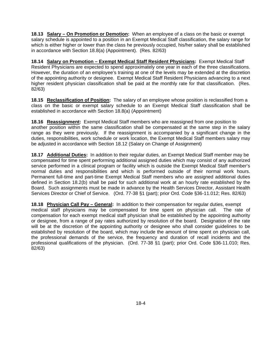**18.13 Salary – On Promotion or Demotion:** When an employee of a class on the basic or exempt salary schedule is appointed to a position in an Exempt Medical Staff classification, the salary range for which is either higher or lower than the class he previously occupied, his/her salary shall be established in accordance with Section 18.8(a) (Appointment). (Res. 82/63)

**18.14 Salary on Promotion – Exempt Medical Staff Resident Physicians:** Exempt Medical Staff Resident Physicians are expected to spend approximately one year in each of the three classifications. However, the duration of an employee's training at one of the levels may be extended at the discretion of the appointing authority or designee. Exempt Medical Staff Resident Physicians advancing to a next higher resident physician classification shall be paid at the monthly rate for that classification. (Res. 82/63)

**18.15 Reclassification of Position:** The salary of an employee whose position is reclassified from a class on the basic or exempt salary schedule to an Exempt Medical Staff classification shall be established in accordance with Section 18.8(a) (Appointment)

**18.16 Reassignment:** Exempt Medical Staff members who are reassigned from one position to another position within the same classification shall be compensated at the same step in the salary range as they were previously. If the reassignment is accompanied by a significant change in the duties, responsibilities, work schedule or work location, the Exempt Medical Staff members salary may be adjusted in accordance with Section 18.12 (Salary on Change of Assignment)

**18.17 Additional Duties:** In addition to their regular duties, an Exempt Medical Staff member may be compensated for time spent performing additional assigned duties which may consist of any authorized service performed in a clinical program or facility which is outside the Exempt Medical Staff member's normal duties and responsibilities and which is performed outside of their normal work hours. Permanent full-time and part-time Exempt Medical Staff members who are assigned additional duties defined in Section 18.2(b) shall be paid for such additional work at an hourly rate established by the Board. Such assignments must be made in advance by the Health Services Director, Assistant Health Services Director or Chief of Service. (Ord. 77-38 §1 (part); prior Ord. Code §36-11.012; Res. 82/63)

**18.18 Physician Call Pay – General:** In addition to their compensation for regular duties, exempt medical staff physicians may be compensated for time spent on physician call. The rate of compensation for each exempt medical staff physician shall be established by the appointing authority or designee, from a range of pay rates authorized by resolution of the board. Designation of the rate will be at the discretion of the appointing authority or designee who shall consider guidelines to be established by resolution of the board, which may include the amount of time spent on physician call, the professional demands of the service, the frequency and duration of recall incidents and the professional qualifications of the physician. (Ord. 77-38 §1 (part); prior Ord. Code §36-11.010; Res. 82/63)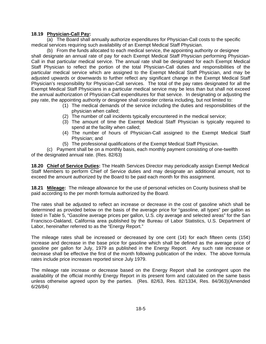# **18.19 Physician-Call Pay:**

(a) The Board shall annually authorize expenditures for Physician-Call costs to the specific medical services requiring such availability of an Exempt Medical Staff Physician.

(b) From the funds allocated to each medical service, the appointing authority or designee shall designate an annual rate of pay for each Exempt Medical Staff Physician performing Physician-Call in that particular medical service. The annual rate shall be designated for each Exempt Medical Staff Physician to reflect the portion of the total Physician-Call duties and responsibilities of the particular medical service which are assigned to the Exempt Medical Staff Physician, and may be adjusted upwards or downwards to further reflect any significant change in the Exempt Medical Staff Physician's responsibility for Physician-Call services. The total of the pay rates designated for all the Exempt Medical Staff Physicians in a particular medical service may be less than but shall not exceed the annual authorization of Physician-Call expenditures for that service. In designating or adjusting the pay rate, the appointing authority or designee shall consider criteria including, but not limited to:

- (1) The medical demands of the service including the duties and responsibilities of the physician when called;
- (2) The number of call incidents typically encountered in the medical service;
- (3) The amount of time the Exempt Medical Staff Physician is typically required to spend at the facility when called;
- (4) The number of hours of Physician-Call assigned to the Exempt Medical Staff Physician; and
- (5) The professional qualifications of the Exempt Medical Staff Physician.

(c) Payment shall be on a monthly basis, each monthly payment consisting of one-twelfth of the designated annual rate. (Res. 82/63)

**18.20 Chief of Service Duties:** The Health Services Director may periodically assign Exempt Medical Staff Members to perform Chief of Service duties and may designate an additional amount, not to exceed the amount authorized by the Board to be paid each month for this assignment.

**18.21 Mileage:** The mileage allowance for the use of personal vehicles on County business shall be paid according to the per month formula authorized by the Board.

The rates shall be adjusted to reflect an increase or decrease in the cost of gasoline which shall be determined as provided below on the basis of the average price for "gasoline, all types" per gallon as listed in Table 5, "Gasoline average prices per gallon, U.S. city average and selected areas" for the San Francisco-Oakland, California area published by the Bureau of Labor Statistics, U.S. Department of Labor, hereinafter referred to as the "Energy Report."

The mileage rates shall be increased or decreased by one cent  $(1¢)$  for each fifteen cents  $(15¢)$ increase and decrease in the base price for gasoline which shall be defined as the average price of gasoline per gallon for July, 1979 as published in the Energy Report. Any such rate increase or decrease shall be effective the first of the month following publication of the index. The above formula rates include price increases reported since July 1979.

The mileage rate increase or decrease based on the Energy Report shall be contingent upon the availability of the official monthly Energy Report in its present form and calculated on the same basis unless otherwise agreed upon by the parties. (Res. 82/63, Res. 82/1334, Res. 84/363)(Amended 6/26/84)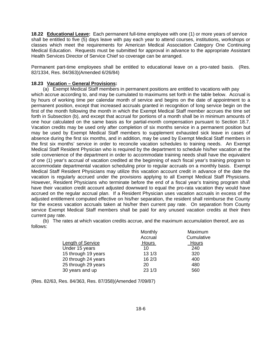**18.22 Educational Leave:** Each permanent full-time employee with one (1) or more years of service shall be entitled to five (5) days leave with pay each year to attend courses, institutions, workshops or classes which meet the requirements for American Medical Association Category One Continuing Medical Education. Requests must be submitted for approval in advance to the appropriate Assistant Health Services Director of Service Chief so coverage can be arranged.

Permanent part-time employees shall be entitled to educational leave on a pro-rated basis. (Res. 82/1334, Res. 84/363)(Amended 6/26/84)

#### **18.23 Vacation – General Provisions:**

(a) Exempt Medical Staff members in permanent positions are entitled to vacations with pay which accrue according to, and may be cumulated to maximums set forth in the table below. Accrual is by hours of working time per calendar month of service and begins on the date of appointment to a permanent position, except that increased accruals granted in recognition of long service begin on the first of the month following the month in which the Exempt Medical Staff member accrues the time set forth in Subsection (b), and except that accrual for portions of a month shall be in minimum amounts of one hour calculated on the same basis as for partial-month compensation pursuant to Section 18.7. Vacation credits may be used only after completion of six months service in a permanent position but may be used by Exempt Medical Staff members to supplement exhausted sick leave in cases of absence during the first six months, and in addition, may be used by Exempt Medical Staff members in the first six months' service in order to reconcile vacation schedules to training needs. An Exempt Medical Staff Resident Physician who is required by the department to schedule his/her vacation at the sole convenience of the department in order to accommodate training needs shall have the equivalent of one (1) year's accrual of vacation credited at the beginning of each fiscal year's training program to accommodate departmental vacation scheduling prior to regular accruals on a monthly basis. Exempt Medical Staff Resident Physicians may utilize this vacation account credit in advance of the date the vacation is regularly accrued under the provisions applying to all Exempt Medical Staff Physicians. However, Resident Physicians who terminate before the end of a fiscal year's training program shall have their vacation credit account adjusted downward to equal the pro-rata vacation they would have accrued on the regular accrual plan. If a Resident Physician uses vacation accruals in excess of the adjusted entitlement computed effective on his/her separation, the resident shall reimburse the County for the excess vacation accruals taken at his/her then current pay rate. On separation from County service Exempt Medical Staff members shall be paid for any unused vacation credits at their then current pay rate.

(b) The rates at which vacation credits accrue, and the maximum accumulation thereof, are as follows:

|                     | Monthly | Maximum    |
|---------------------|---------|------------|
|                     | Accrual | Cumulative |
| Length of Service   | Hours   | Hours      |
| Under 15 years      | 10      | 240        |
| 15 through 19 years | 131/3   | 320        |
| 20 through 24 years | 162/3   | 400        |
| 25 through 29 years | 20      | 480        |
| 30 years and up     | 231/3   | 560        |

(Res. 82/63, Res. 84/363, Res. 87/358)(Amended 7/09/87)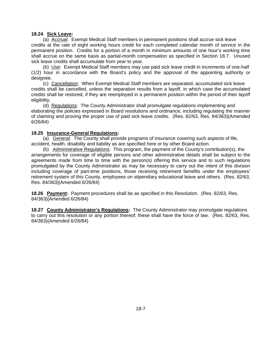#### **18.24 Sick Leave:**

(a) Accrual: Exempt Medical Staff members in permanent positions shall accrue sick leave credits at the rate of eight working hours credit for each completed calendar month of service in the permanent position. Credits for a portion of a month in minimum amounts of one hour's working time shall accrue on the same basis as partial-month compensation as specified in Section 18.7. Unused sick leave credits shall accumulate from year to year.

(b) Use: Exempt Medical Staff members may use paid sick leave credit in increments of one-half (1/2) hour in accordance with the Board's policy and the approval of the appointing authority or designee.

(c) Cancellation: When Exempt Medical Staff members are separated, accumulated sick leave credits shall be cancelled, unless the separation results from a layoff, in which case the accumulated credits shall be restored, if they are reemployed in a permanent position within the period of their layoff eligibility.

(d) Regulations: The County Administrator shall promulgate regulations implementing and elaborating the policies expressed in Board resolutions and ordinance, including regulating the manner of claiming and proving the proper use of paid sick leave credits. (Res. 82/63, Res. 84/363)(Amended 6/26/84)

# **18.25 Insurance-General Regulations:**

(a) General: The County shall provide programs of insurance covering such aspects of life, accident, health, disability and liability as are specified here or by other Board action.

(b) Administrative Regulations: This program, the payment of the County's contribution(s), the arrangements for coverage of eligible persons and other administrative details shall be subject to the agreements made from time to time with the person(s) offering this service and to such regulations promulgated by the County Administrator as may be necessary to carry out the intent of this division including coverage of part-time positions, those receiving retirement benefits under the employees' retirement system of this County, employees on stipendiary educational leave and others. (Res. 82/63, Res. 84/363)(Amended 6/26/84)

**18.26 Payment:** Payment procedures shall be as specified in this Resolution. (Res. 82/63, Res. 84/363)(Amended 6/26/84)

**18.27 County Administrator's Regulations:** The County Administrator may promulgate regulations to carry out this resolution or any portion thereof; these shall have the force of law. (Res. 82/63, Res. 84/363)(Amended 6/26/84)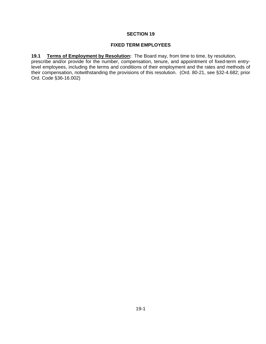#### **FIXED TERM EMPLOYEES**

**19.1 Terms of Employment by Resolution:** The Board may, from time to time, by resolution, prescribe and/or provide for the number, compensation, tenure, and appointment of fixed-term entrylevel employees, including the terms and conditions of their employment and the rates and methods of their compensation, notwithstanding the provisions of this resolution. (Ord. 80-21, see §32-4.682; prior Ord. Code §36-16.002)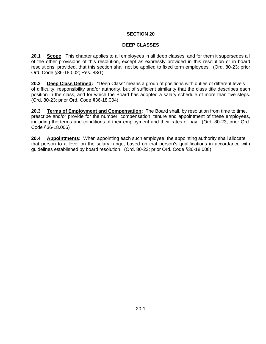#### **DEEP CLASSES**

**20.1 Scope:** This chapter applies to all employees in all deep classes, and for them it supersedes all of the other provisions of this resolution, except as expressly provided in this resolution or in board resolutions, provided, that this section shall not be applied to fixed term employees. (Ord. 80-23; prior Ord. Code §36-18.002; Res. 83/1)

**20.2 Deep Class Defined:** "Deep Class" means a group of positions with duties of different levels of difficulty, responsibility and/or authority, but of sufficient similarity that the class title describes each position in the class, and for which the Board has adopted a salary schedule of more than five steps. (Ord. 80-23; prior Ord. Code §36-18.004)

**20.3 Terms of Employment and Compensation:** The Board shall, by resolution from time to time, prescribe and/or provide for the number, compensation, tenure and appointment of these employees, including the terms and conditions of their employment and their rates of pay. (Ord. 80-23; prior Ord. Code §36-18.006)

**20.4 Appointments:** When appointing each such employee, the appointing authority shall allocate that person to a level on the salary range, based on that person's qualifications in accordance with guidelines established by board resolution. (Ord. 80-23; prior Ord. Code §36-18.008)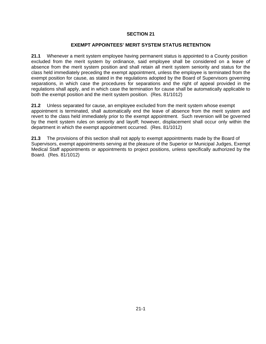#### **EXEMPT APPOINTEES' MERIT SYSTEM STATUS RETENTION**

**21.1** Whenever a merit system employee having permanent status is appointed to a County position excluded from the merit system by ordinance, said employee shall be considered on a leave of absence from the merit system position and shall retain all merit system seniority and status for the class held immediately preceding the exempt appointment, unless the employee is terminated from the exempt position for cause, as stated in the regulations adopted by the Board of Supervisors governing separations, in which case the procedures for separations and the right of appeal provided in the regulations shall apply, and in which case the termination for cause shall be automatically applicable to both the exempt position and the merit system position. (Res. 81/1012)

**21.2** Unless separated for cause, an employee excluded from the merit system whose exempt appointment is terminated, shall automatically end the leave of absence from the merit system and revert to the class held immediately prior to the exempt appointment. Such reversion will be governed by the merit system rules on seniority and layoff; however, displacement shall occur only within the department in which the exempt appointment occurred. (Res. 81/1012)

**21.3** The provisions of this section shall not apply to exempt appointments made by the Board of Supervisors, exempt appointments serving at the pleasure of the Superior or Municipal Judges, Exempt Medical Staff appointments or appointments to project positions, unless specifically authorized by the Board. (Res. 81/1012)